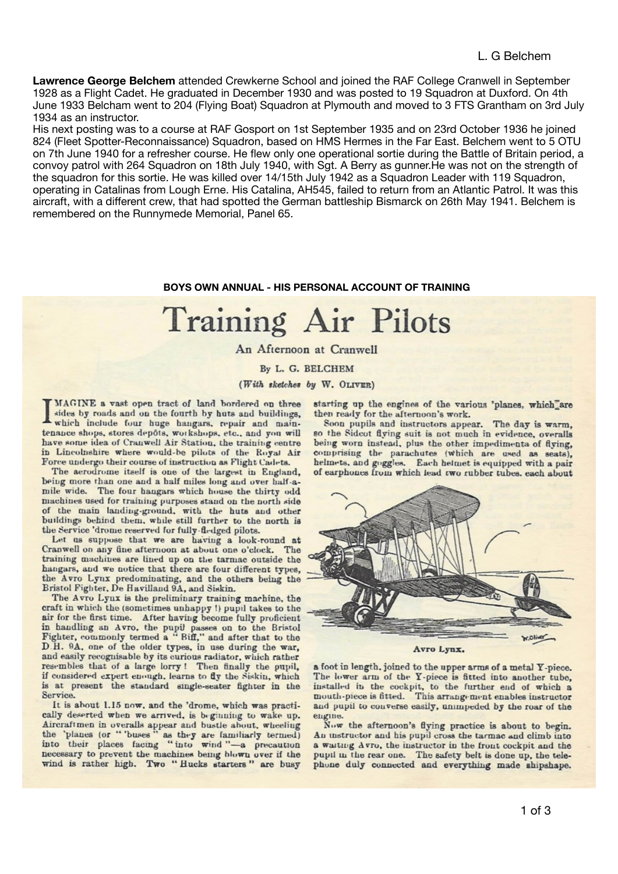**Lawrence George Belchem** attended Crewkerne School and joined the RAF College Cranwell in September 1928 as a Flight Cadet. He graduated in December 1930 and was posted to 19 Squadron at Duxford. On 4th June 1933 Belcham went to 204 (Flying Boat) Squadron at Plymouth and moved to 3 FTS Grantham on 3rd July 1934 as an instructor.

His next posting was to a course at RAF Gosport on 1st September 1935 and on 23rd October 1936 he joined 824 (Fleet Spotter-Reconnaissance) Squadron, based on HMS Hermes in the Far East. Belchem went to 5 OTU on 7th June 1940 for a refresher course. He flew only one operational sortie during the Battle of Britain period, a convoy patrol with 264 Squadron on 18th July 1940, with Sgt. A Berry as gunner.He was not on the strength of the squadron for this sortie. He was killed over 14/15th July 1942 as a Squadron Leader with 119 Squadron, operating in Catalinas from Lough Erne. His Catalina, AH545, failed to return from an Atlantic Patrol. It was this aircraft, with a different crew, that had spotted the German battleship Bismarck on 26th May 1941. Belchem is remembered on the Runnymede Memorial, Panel 65.

## **BOYS OWN ANNUAL - HIS PERSONAL ACCOUNT OF TRAINING**

## **Training Air Pilots**

An Afternoon at Cranwell

By L. G. BELCHEM

(With sketches by W. OLIVER)

MAGINE a vast open tract of land bordered on three sides by roads and on the fourth by huts and buildings. which include four huge hangars, repair and maintenance shops, stores depôts, workshops, etc., and you will have some idea of Cranwell Air Station, the training centre in Lincolnshire where would-be pilots of the Royal Air Force undergo their course of instruction as Flight Cadets.

The aerodrome itself is one of the largest in England, being more than one and a half miles long and over half-amile wide. The four hangars which house the thirty odd machines used for training purposes stand on the north side of the main landing-ground, with the huts and other buildings behind them, while still further to the north is the Service 'drome reserved for fully-fledged pilots.

Let us suppose that we are having a look-round at Cranwell on any fine afternoon at about one o'clock. The training machines are lined up on the tarmac outside the hangars, and we notice that there are four different types, the Avro Lynx predominating, and the others being the Bristol Fighter, De Havilland 9A, and Siskin.

The Avro Lynx is the preliminary training machine, the craft in which the (sometimes unhappy !) pupil takes to the air for the first time. After having become fully proficient<br>in handling an Avro, the pupil passes on to the Bristol<br>Fighter, commonly termed a "Biff," and after that to the D.H. 9A, one of the older types, in use during the war, and easily recognisable by its curious radiator, which rather resembles that of a large lorry! Then finally the pupil, if considered expert enough, learns to fly the Siskin, which is at present the standard single-seater fighter in the Service.

It is about 1.15 now, and the 'drome, which was practically deserted when we arrived, is beginning to wake up. Aircraftmen in overalls appear and bustle about, wheeling<br>the 'planes (or "buses" as they are familiarly termed)<br>into their places facing "into wind"—a precaution necessary to prevent the machines being blown over if the wind is rather high. Two "Hucks starters" are busy starting up the engines of the various 'planes. which are then ready for the afternoon's work.

Soon pupils and instructors appear. The day is warm, so the Sidcot flying suit is not much in evidence, overalls being worn instead, plus the other impedimenta of flying, comprising the parachutes (which are used as seats), helmets, and goggles. Each helmet is equipped with a pair of earphones from which lead two rubber tubes, each about



Avro Lynx.

a foot in length, joined to the upper arms of a metal Y-piece. The lower arm of the Y-piece is fitted into another tube, installed in the cockpit, to the further end of which a mouth-piece is fitted. This arrangement enables instructor and pupil to converse easily, unimpeded by the roar of the engine.

Now the afternoon's flying practice is about to begin. An unstructor and his pupil cross the tarmac and climb into a waiting Avro, the instructor in the front cockpit and the pupil in the rear one. The safety belt is done up, the telephone duly connected and everything made shipshape.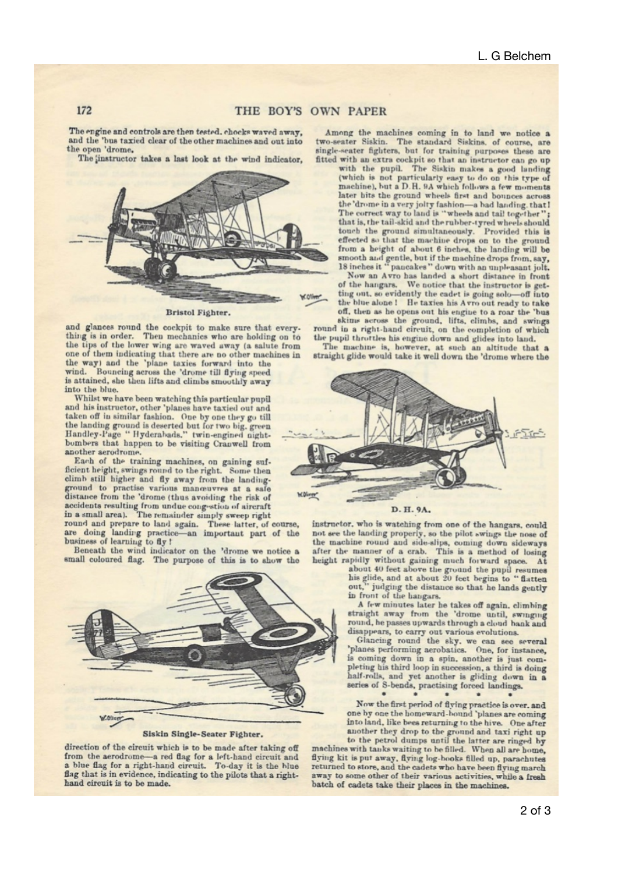## THE BOY'S OWN PAPER

The engine and controls are then tested, chocks waved away. and the 'bus taxied clear of the other machines and out into the open 'drome.

The instructor takes a last look at the wind indicator,



Bristol Fighter.

and glances round the cockpit to make sure that every-<br>thing is in order. Then mechanics who are holding on to the tips of the lower wing are waved away (a salute from one of them indicating that there are no other machines in

the way) and the 'plane taxies forward into the wind. Bouncing across the 'drome till flying speed is attained, she then lifts and climbs smoothly away into the blue.

Whilst we have been watching this particular pupil and his instructor, other 'planes have taxied out and taken off in similar fashion. One by one they go till the landing ground is deserted but for two big. green<br>Handley-Page "Hyderabads." twin-engined nightbombers that happen to be visiting Cranwell from another aerodrome.

Each of the training machines, on gaining suf-<br>ficient height, swings round to the right. Some then climb still higher and fly away from the landing-<br>ground to practise various maneuvres at a safe distance from the 'drome (thus avoiding the risk of accidents resulting from undue congestion of aircraft<br>in a small area). The remainder simply sweep right

round and prepare to land again. These latter, of course, are doing landing practice—an important part of the business of learning to fly!

Beneath the wind indicator on the 'drome we notice a small coloured flag. The purpose of this is to show the



Siskin Single-Seater Fighter.

direction of the circuit which is to be made after taking off from the aerodrome-a red flag for a left-hand circuit and a blue flag for a right-hand circuit. To-day it is the blue flag that is in evidence, indicating to the pilots that a righthand circuit is to be made.

Among the machines coming in to land we notice a two-seater Siskin. The standard Siskins. of course, are single-seater fighters, but for training purposes these are fitted with an extra cockpit so that an instructor can go up with the pupil. The Siskin makes a good landing

(which is not particularly easy to do on this type of machine), but a D.H. 9A which follows a few moments later bits the ground wheels first and bounces across the 'drome in a very jolty fashion-a had landing, that! The correct way to land is "wheels and tail together" that is, the tail-skid and the rubber-tyred wheels should touch the ground simultaneously. Provided this is<br>effected so that the machine drops on to the ground<br>from a beight of about 6 inches, the landing will be smooth and gentle, but if the machine drops from, say, 18 inches it "pancakes" down with an unpleasant jolt.

Now an Avro has landed a short distance in front<br>of the hangars. We notice that the instructor is getting out, so evidently the cadet is going solo-off into the blue alone ! He taxies his Avro out ready to take off, then as he opens out his engine to a roar the 'bus skims across the ground, lifts, climbs, and swings<br>round in a right-hand circuit, on the completion of which

the pupil throttles his engine down and glides into land.

The machine is, however, at such an altitude that a straight glide would take it well down the 'drome where the



instructor, who is watching from one of the hangars, could instructor, who is watching from one of the hangars, could<br>not see the landing properly, so the pilot swings the nose of<br>the machine round and side-slips, coming down sideways<br>after the manner of a crab. This is a method o

in front of the hangars.

A few minutes later he takes off again. climbing straight away from the 'drome until, swinging<br>round, he passes upwards through a cloud bank and disappears, to carry out various evolutions.

Glancing round the sky. we can see several 'planes performing aerobatics. One, for instance, is coming down in a spin. another is just completing his third loop in succession, a third is doing half-rolls, and yet another is gliding down in a series of S-bends, practising forced landings.

Now the first period of flying practice is over. and one by one the homeward-bound 'planes are coming into land, like bees returning to the hive. One after

another they drop to the ground and taxi right up<br>to the petrol dumps until the latter are ringed by<br>machines with tanks waiting to be filled. When all are home, flying kit is put away, flying log-books filled up, parachutes returned to store, and the cadets who have been flying march away to some other of their various activities, while a fresh batch of cadets take their places in the machines.